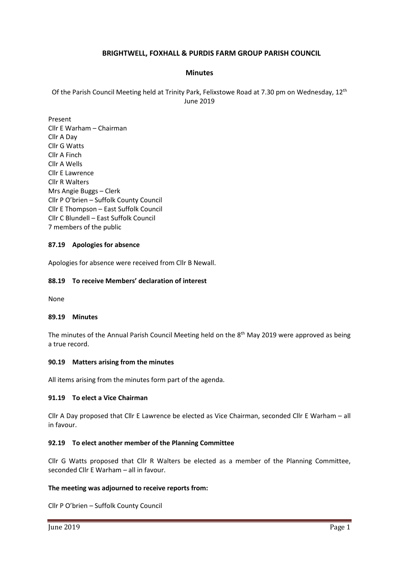# **BRIGHTWELL, FOXHALL & PURDIS FARM GROUP PARISH COUNCIL**

# **Minutes**

Of the Parish Council Meeting held at Trinity Park, Felixstowe Road at 7.30 pm on Wednesday, 12th June 2019

Present Cllr E Warham – Chairman Cllr A Day Cllr G Watts Cllr A Finch Cllr A Wells Cllr E Lawrence Cllr R Walters Mrs Angie Buggs – Clerk Cllr P O'brien – Suffolk County Council Cllr E Thompson – East Suffolk Council Cllr C Blundell – East Suffolk Council 7 members of the public

# **87.19 Apologies for absence**

Apologies for absence were received from Cllr B Newall.

# **88.19 To receive Members' declaration of interest**

None

#### **89.19 Minutes**

The minutes of the Annual Parish Council Meeting held on the 8<sup>th</sup> May 2019 were approved as being a true record.

# **90.19 Matters arising from the minutes**

All items arising from the minutes form part of the agenda.

# **91.19 To elect a Vice Chairman**

Cllr A Day proposed that Cllr E Lawrence be elected as Vice Chairman, seconded Cllr E Warham – all in favour.

# **92.19 To elect another member of the Planning Committee**

Cllr G Watts proposed that Cllr R Walters be elected as a member of the Planning Committee, seconded Cllr E Warham – all in favour.

# **The meeting was adjourned to receive reports from:**

Cllr P O'brien – Suffolk County Council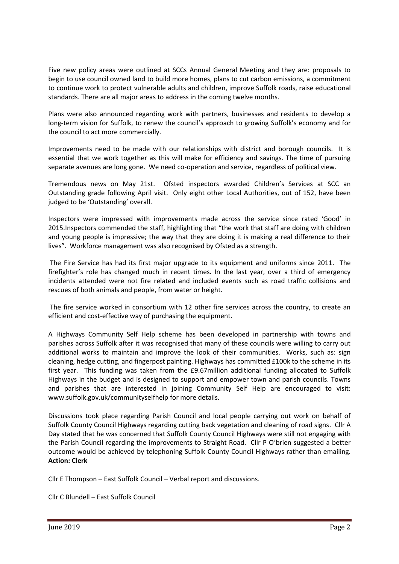Five new policy areas were outlined at SCCs Annual General Meeting and they are: proposals to begin to use council owned land to build more homes, plans to cut carbon emissions, a commitment to continue work to protect vulnerable adults and children, improve Suffolk roads, raise educational standards. There are all major areas to address in the coming twelve months.

Plans were also announced regarding work with partners, businesses and residents to develop a long-term vision for Suffolk, to renew the council's approach to growing Suffolk's economy and for the council to act more commercially.

Improvements need to be made with our relationships with district and borough councils. It is essential that we work together as this will make for efficiency and savings. The time of pursuing separate avenues are long gone. We need co-operation and service, regardless of political view.

Tremendous news on May 21st. Ofsted inspectors awarded Children's Services at SCC an Outstanding grade following April visit. Only eight other Local Authorities, out of 152, have been judged to be 'Outstanding' overall.

Inspectors were impressed with improvements made across the service since rated 'Good' in 2015.Inspectors commended the staff, highlighting that "the work that staff are doing with children and young people is impressive; the way that they are doing it is making a real difference to their lives". Workforce management was also recognised by Ofsted as a strength.

The Fire Service has had its first major upgrade to its equipment and uniforms since 2011. The firefighter's role has changed much in recent times. In the last year, over a third of emergency incidents attended were not fire related and included events such as road traffic collisions and rescues of both animals and people, from water or height.

The fire service worked in consortium with 12 other fire services across the country, to create an efficient and cost-effective way of purchasing the equipment.

A Highways Community Self Help scheme has been developed in partnership with towns and parishes across Suffolk after it was recognised that many of these councils were willing to carry out additional works to maintain and improve the look of their communities. Works, such as: sign cleaning, hedge cutting, and fingerpost painting. Highways has committed £100k to the scheme in its first year. This funding was taken from the £9.67million additional funding allocated to Suffolk Highways in the budget and is designed to support and empower town and parish councils. Towns and parishes that are interested in joining Community Self Help are encouraged to visit: [www.suffolk.gov.uk/communityselfhelp](https://www.suffolk.gov.uk/roads-and-transport/community-self-help-scheme/) for more details.

Discussions took place regarding Parish Council and local people carrying out work on behalf of Suffolk County Council Highways regarding cutting back vegetation and cleaning of road signs. Cllr A Day stated that he was concerned that Suffolk County Council Highways were still not engaging with the Parish Council regarding the improvements to Straight Road. Cllr P O'brien suggested a better outcome would be achieved by telephoning Suffolk County Council Highways rather than emailing. **Action: Clerk**

Cllr E Thompson – East Suffolk Council – Verbal report and discussions.

Cllr C Blundell – East Suffolk Council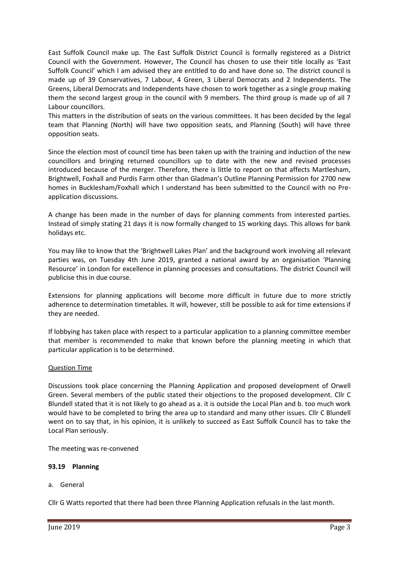East Suffolk Council make up. The East Suffolk District Council is formally registered as a District Council with the Government. However, The Council has chosen to use their title locally as 'East Suffolk Council' which I am advised they are entitled to do and have done so. The district council is made up of 39 Conservatives, 7 Labour, 4 Green, 3 Liberal Democrats and 2 Independents. The Greens, Liberal Democrats and Independents have chosen to work together as a single group making them the second largest group in the council with 9 members. The third group is made up of all 7 Labour councillors.

This matters in the distribution of seats on the various committees. It has been decided by the legal team that Planning (North) will have two opposition seats, and Planning (South) will have three opposition seats.

Since the election most of council time has been taken up with the training and induction of the new councillors and bringing returned councillors up to date with the new and revised processes introduced because of the merger. Therefore, there is little to report on that affects Martlesham, Brightwell, Foxhall and Purdis Farm other than Gladman's Outline Planning Permission for 2700 new homes in Bucklesham/Foxhall which I understand has been submitted to the Council with no Preapplication discussions.

A change has been made in the number of days for planning comments from interested parties. Instead of simply stating 21 days it is now formally changed to 15 working days. This allows for bank holidays etc.

You may like to know that the 'Brightwell Lakes Plan' and the background work involving all relevant parties was, on Tuesday 4th June 2019, granted a national award by an organisation 'Planning Resource' in London for excellence in planning processes and consultations. The district Council will publicise this in due course.

Extensions for planning applications will become more difficult in future due to more strictly adherence to determination timetables. It will, however, still be possible to ask for time extensions if they are needed.

If lobbying has taken place with respect to a particular application to a planning committee member that member is recommended to make that known before the planning meeting in which that particular application is to be determined.

# Question Time

Discussions took place concerning the Planning Application and proposed development of Orwell Green. Several members of the public stated their objections to the proposed development. Cllr C Blundell stated that it is not likely to go ahead as a. it is outside the Local Plan and b. too much work would have to be completed to bring the area up to standard and many other issues. Cllr C Blundell went on to say that, in his opinion, it is unlikely to succeed as East Suffolk Council has to take the Local Plan seriously.

The meeting was re-convened

# **93.19 Planning**

a. General

Cllr G Watts reported that there had been three Planning Application refusals in the last month.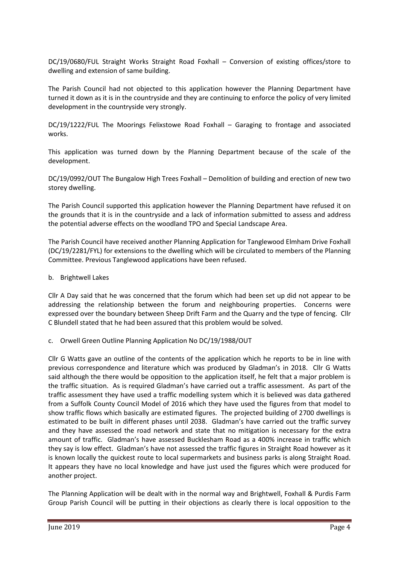DC/19/0680/FUL Straight Works Straight Road Foxhall – Conversion of existing offices/store to dwelling and extension of same building.

The Parish Council had not objected to this application however the Planning Department have turned it down as it is in the countryside and they are continuing to enforce the policy of very limited development in the countryside very strongly.

DC/19/1222/FUL The Moorings Felixstowe Road Foxhall – Garaging to frontage and associated works.

This application was turned down by the Planning Department because of the scale of the development.

DC/19/0992/OUT The Bungalow High Trees Foxhall – Demolition of building and erection of new two storey dwelling.

The Parish Council supported this application however the Planning Department have refused it on the grounds that it is in the countryside and a lack of information submitted to assess and address the potential adverse effects on the woodland TPO and Special Landscape Area.

The Parish Council have received another Planning Application for Tanglewood Elmham Drive Foxhall (DC/19/2281/FYL) for extensions to the dwelling which will be circulated to members of the Planning Committee. Previous Tanglewood applications have been refused.

# b. Brightwell Lakes

Cllr A Day said that he was concerned that the forum which had been set up did not appear to be addressing the relationship between the forum and neighbouring properties. Concerns were expressed over the boundary between Sheep Drift Farm and the Quarry and the type of fencing. Cllr C Blundell stated that he had been assured that this problem would be solved.

# c. Orwell Green Outline Planning Application No DC/19/1988/OUT

Cllr G Watts gave an outline of the contents of the application which he reports to be in line with previous correspondence and literature which was produced by Gladman's in 2018. Cllr G Watts said although the there would be opposition to the application itself, he felt that a major problem is the traffic situation. As is required Gladman's have carried out a traffic assessment. As part of the traffic assessment they have used a traffic modelling system which it is believed was data gathered from a Suffolk County Council Model of 2016 which they have used the figures from that model to show traffic flows which basically are estimated figures. The projected building of 2700 dwellings is estimated to be built in different phases until 2038. Gladman's have carried out the traffic survey and they have assessed the road network and state that no mitigation is necessary for the extra amount of traffic. Gladman's have assessed Bucklesham Road as a 400% increase in traffic which they say is low effect. Gladman's have not assessed the traffic figures in Straight Road however as it is known locally the quickest route to local supermarkets and business parks is along Straight Road. It appears they have no local knowledge and have just used the figures which were produced for another project.

The Planning Application will be dealt with in the normal way and Brightwell, Foxhall & Purdis Farm Group Parish Council will be putting in their objections as clearly there is local opposition to the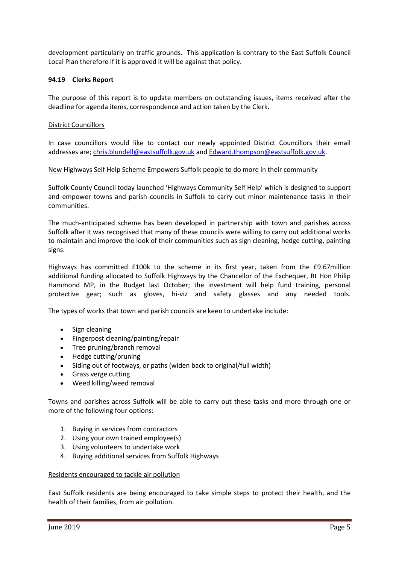development particularly on traffic grounds. This application is contrary to the East Suffolk Council Local Plan therefore if it is approved it will be against that policy.

# **94.19 Clerks Report**

The purpose of this report is to update members on outstanding issues, items received after the deadline for agenda items, correspondence and action taken by the Clerk.

# District Councillors

In case councillors would like to contact our newly appointed District Councillors their email addresses are; [chris.blundell@eastsuffolk.gov.uk](mailto:chris.blundell@eastsuffolk.gov.uk) and [Edward.thompson@eastsuffolk.gov.uk.](mailto:Edward.thompson@eastsuffolk.gov.uk)

# New Highways Self Help Scheme Empowers Suffolk people to do more in their community

Suffolk County Council today launched 'Highways Community Self Help' which is designed to support and empower towns and parish councils in Suffolk to carry out minor maintenance tasks in their communities.

The much-anticipated scheme has been developed in partnership with town and parishes across Suffolk after it was recognised that many of these councils were willing to carry out additional works to maintain and improve the look of their communities such as sign cleaning, hedge cutting, painting signs.

Highways has committed £100k to the scheme in its first year, taken from the £9.67million additional funding allocated to Suffolk Highways by the Chancellor of the Exchequer, Rt Hon Philip Hammond MP, in the Budget last October; the investment will help fund training, personal protective gear; such as gloves, hi-viz and safety glasses and any needed tools.

The types of works that town and parish councils are keen to undertake include:

- Sign cleaning
- Fingerpost cleaning/painting/repair
- Tree pruning/branch removal
- Hedge cutting/pruning
- Siding out of footways, or paths (widen back to original/full width)
- Grass verge cutting
- Weed killing/weed removal

Towns and parishes across Suffolk will be able to carry out these tasks and more through one or more of the following four options:

- 1. Buying in services from contractors
- 2. Using your own trained employee(s)
- 3. Using volunteers to undertake work
- 4. Buying additional services from Suffolk Highways

# Residents encouraged to tackle air pollution

East Suffolk residents are being encouraged to take simple steps to protect their health, and the health of their families, from air pollution.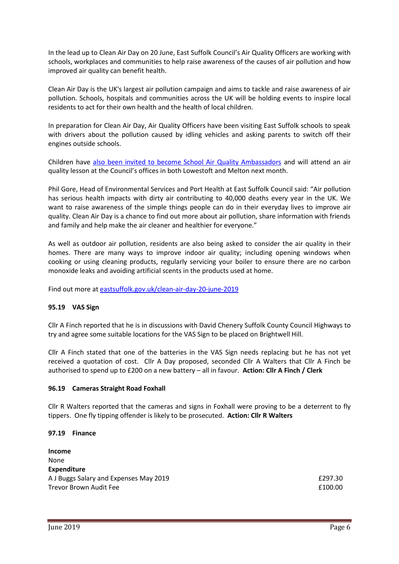In the lead up to Clean Air Day on 20 June, East Suffolk Council's Air Quality Officers are working with schools, workplaces and communities to help raise awareness of the causes of air pollution and how improved air quality can benefit health.

Clean Air Day is the UK's largest air pollution campaign and aims to tackle and raise awareness of air pollution. Schools, hospitals and communities across the UK will be holding events to inspire local residents to act for their own health and the health of local children.

In preparation for Clean Air Day, Air Quality Officers have been visiting East Suffolk schools to speak with drivers about the pollution caused by idling vehicles and asking parents to switch off their engines outside schools.

Children have [also been invited to become School Air Quality Ambassadors](http://www.eastsuffolk.gov.uk/news/air-quality-workshops/) and will attend an air quality lesson at the Council's offices in both Lowestoft and Melton next month.

Phil Gore, Head of Environmental Services and Port Health at East Suffolk Council said: "Air pollution has serious health impacts with dirty air contributing to 40,000 deaths every year in the UK. We want to raise awareness of the simple things people can do in their everyday lives to improve air quality. Clean Air Day is a chance to find out more about air pollution, share information with friends and family and help make the air cleaner and healthier for everyone."

As well as outdoor air pollution, residents are also being asked to consider the air quality in their homes. There are many ways to improve indoor air quality; including opening windows when cooking or using cleaning products, regularly servicing your boiler to ensure there are no carbon monoxide leaks and avoiding artificial scents in the products used at home.

Find out more at [eastsuffolk.gov.uk/clean-air-day-20-june-2019](http://www.eastsuffolk.gov.uk/environment/environmental-protection/air-quality/clean-air-day-20-june-2019/)

# **95.19 VAS Sign**

Cllr A Finch reported that he is in discussions with David Chenery Suffolk County Council Highways to try and agree some suitable locations for the VAS Sign to be placed on Brightwell Hill.

Cllr A Finch stated that one of the batteries in the VAS Sign needs replacing but he has not yet received a quotation of cost. Cllr A Day proposed, seconded Cllr A Walters that Cllr A Finch be authorised to spend up to £200 on a new battery – all in favour. **Action: Cllr A Finch / Clerk**

# **96.19 Cameras Straight Road Foxhall**

Cllr R Walters reported that the cameras and signs in Foxhall were proving to be a deterrent to fly tippers. One fly tipping offender is likely to be prosecuted. **Action: Cllr R Walters**

# **97.19 Finance**

**Income** None **Expenditure** A J Buggs Salary and Expenses May 2019 **EXPENSION EXPENSION EXPISSION EXPISSION** Trevor Brown Audit Fee **E100.00**